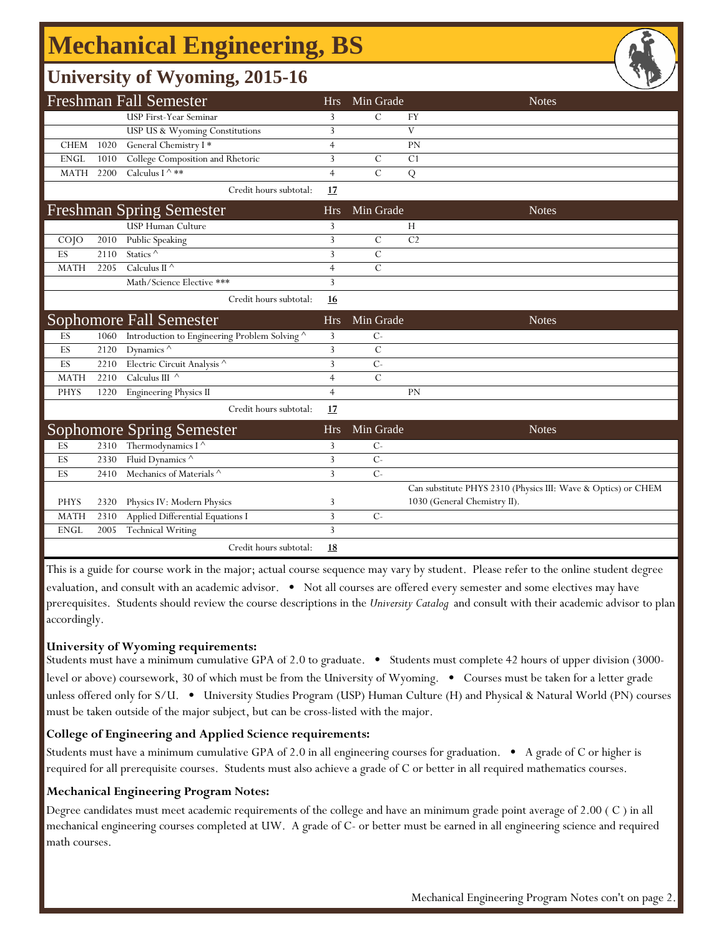# **Mechanical Engineering, BS**

### **University of Wyoming, 2015-16**

|             |      |                                               |                |                | — —                                                           |
|-------------|------|-----------------------------------------------|----------------|----------------|---------------------------------------------------------------|
|             |      | <b>Freshman Fall Semester</b>                 | <b>Hrs</b>     | Min Grade      | <b>Notes</b>                                                  |
|             |      | <b>USP First-Year Seminar</b>                 | 3              | $\mathcal{C}$  | <b>FY</b>                                                     |
|             |      | USP US & Wyoming Constitutions                | 3              |                | $\mathbf{V}$                                                  |
| <b>CHEM</b> | 1020 | General Chemistry I*                          | $\overline{4}$ |                | PN                                                            |
| <b>ENGL</b> | 1010 | College Composition and Rhetoric              | 3              | $\mathcal{C}$  | C1                                                            |
| <b>MATH</b> | 2200 | Calculus I $\overline{\wedge}$ **             | $\overline{4}$ | $\overline{C}$ | ${\bf Q}$                                                     |
|             |      | Credit hours subtotal:                        | 17             |                |                                                               |
|             |      | <b>Freshman Spring Semester</b>               | <b>Hrs</b>     | Min Grade      | <b>Notes</b>                                                  |
|             |      | USP Human Culture                             | 3              |                | Н                                                             |
| COJO        | 2010 | Public Speaking                               | 3              | $\mathcal{C}$  | C <sub>2</sub>                                                |
| ES          | 2110 | Statics $\wedge$                              | 3              | $\overline{C}$ |                                                               |
| <b>MATH</b> | 2205 | Calculus II $^\wedge$                         | $\overline{4}$ | $\overline{C}$ |                                                               |
|             |      | Math/Science Elective ***                     | 3              |                |                                                               |
|             |      | Credit hours subtotal:                        | 16             |                |                                                               |
|             |      | Sophomore Fall Semester                       | <b>Hrs</b>     | Min Grade      | <b>Notes</b>                                                  |
| ES          | 1060 | Introduction to Engineering Problem Solving ^ | 3              | $C-$           |                                                               |
| ES          | 2120 | Dynamics ^                                    | 3              | $\overline{C}$ |                                                               |
| ES          | 2210 | Electric Circuit Analysis $^\wedge$           | 3              | $C-$           |                                                               |
| <b>MATH</b> | 2210 | Calculus III $\wedge$                         | $\overline{4}$ | $\mathcal{C}$  |                                                               |
| <b>PHYS</b> | 1220 | <b>Engineering Physics II</b>                 | $\overline{4}$ |                | <b>PN</b>                                                     |
|             |      | Credit hours subtotal:                        | 17             |                |                                                               |
|             |      | <b>Sophomore Spring Semester</b>              | <b>Hrs</b>     | Min Grade      | <b>Notes</b>                                                  |
| ES          | 2310 | Thermodynamics $\overline{I^{\wedge}}$        | 3              | $C-$           |                                                               |
| ES          | 2330 | Fluid Dynamics ^                              | 3              | $C-$           |                                                               |
| ES          | 2410 | Mechanics of Materials ^                      | 3              | $C -$          |                                                               |
|             |      |                                               |                |                | Can substitute PHYS 2310 (Physics III: Wave & Optics) or CHEM |
| <b>PHYS</b> | 2320 | Physics IV: Modern Physics                    | 3              |                | 1030 (General Chemistry II).                                  |
| <b>MATH</b> | 2310 | Applied Differential Equations I              | 3              | $C -$          |                                                               |
| <b>ENGL</b> | 2005 | <b>Technical Writing</b>                      | 3              |                |                                                               |
|             |      | Credit hours subtotal:                        | <u>18</u>      |                |                                                               |

This is a guide for course work in the major; actual course sequence may vary by student. Please refer to the online student degree evaluation, and consult with an academic advisor. • Not all courses are offered every semester and some electives may have prerequisites. Students should review the course descriptions in the *University Catalog* and consult with their academic advisor to plan accordingly.

#### **University of Wyoming requirements:**

Students must have a minimum cumulative GPA of 2.0 to graduate. • Students must complete 42 hours of upper division (3000 level or above) coursework, 30 of which must be from the University of Wyoming. • Courses must be taken for a letter grade unless offered only for S/U. • University Studies Program (USP) Human Culture (H) and Physical & Natural World (PN) courses must be taken outside of the major subject, but can be cross-listed with the major.

#### **College of Engineering and Applied Science requirements:**

Students must have a minimum cumulative GPA of 2.0 in all engineering courses for graduation. • A grade of C or higher is required for all prerequisite courses. Students must also achieve a grade of C or better in all required mathematics courses.

#### **Mechanical Engineering Program Notes:**

Degree candidates must meet academic requirements of the college and have an minimum grade point average of 2.00 ( C ) in all mechanical engineering courses completed at UW. A grade of C- or better must be earned in all engineering science and required math courses.